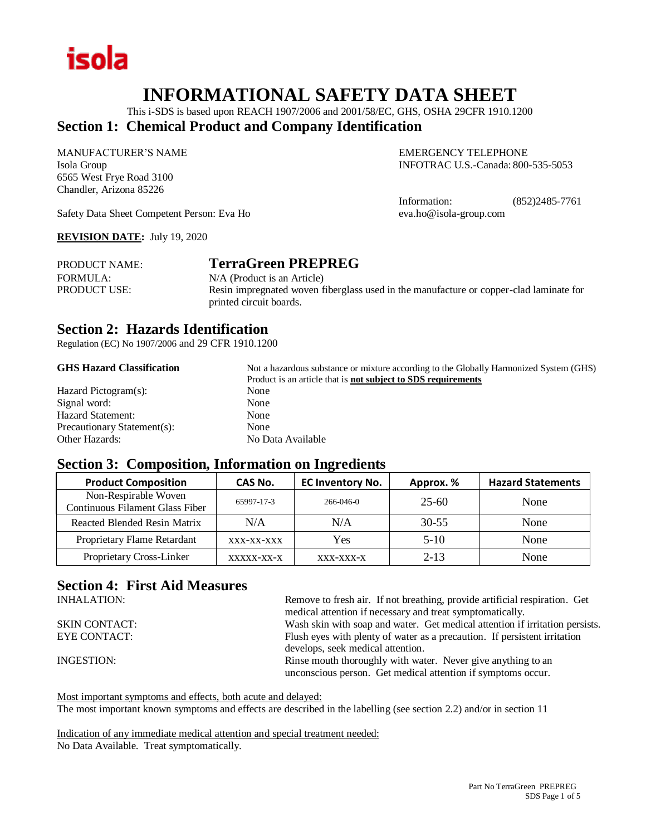

## **INFORMATIONAL SAFETY DATA SHEET**

This i-SDS is based upon REACH 1907/2006 and 2001/58/EC, GHS, OSHA 29CFR 1910.1200

### **Section 1: Chemical Product and Company Identification**

MANUFACTURER'S NAME EMERGENCY TELEPHONE 6565 West Frye Road 3100 Chandler, Arizona 85226

Isola Group INFOTRAC U.S.-Canada: 800-535-5053

Information: (852)2485-7761

Safety Data Sheet Competent Person: Eva Ho eva.ho@isola-group.com

#### **REVISION DATE:** July 19, 2020

| <b>PRODUCT NAME:</b> | <b>TerraGreen PREPREG</b>                                                              |
|----------------------|----------------------------------------------------------------------------------------|
| FORMULA:             | N/A (Product is an Article)                                                            |
| <b>PRODUCT USE:</b>  | Resin impregnated woven fiberglass used in the manufacture or copper-clad laminate for |
|                      | printed circuit boards.                                                                |

#### **Section 2: Hazards Identification**

Regulation (EC) No 1907/2006 and 29 CFR 1910.1200

#### **GHS Hazard Classification** Not a hazardous substance or mixture according to the Globally Harmonized System (GHS)

| Product is an article that is <b>not subject to SDS requirements</b> |
|----------------------------------------------------------------------|
| None                                                                 |
| None                                                                 |
| None                                                                 |
| None                                                                 |
| No Data Available                                                    |
|                                                                      |

#### **Section 3: Composition, Information on Ingredients**

| <b>Product Composition</b>                              | CAS No.    | <b>EC Inventory No.</b> | Approx. % | <b>Hazard Statements</b> |
|---------------------------------------------------------|------------|-------------------------|-----------|--------------------------|
| Non-Respirable Woven<br>Continuous Filament Glass Fiber | 65997-17-3 | 266-046-0               | 25-60     | None                     |
| Reacted Blended Resin Matrix                            | N/A        | N/A                     | $30 - 55$ | None                     |
| Proprietary Flame Retardant                             | XXX-XX-XXX | Yes                     | $5-10$    | None                     |
| Proprietary Cross-Linker                                | XXXXX-XX-X | $XXX-XXX-X$             | $2 - 13$  | None                     |

## **Section 4: First Aid Measures**

| <b>INHALATION:</b>   | Remove to fresh air. If not breathing, provide artificial respiration. Get<br>medical attention if necessary and treat symptomatically. |
|----------------------|-----------------------------------------------------------------------------------------------------------------------------------------|
| <b>SKIN CONTACT:</b> | Wash skin with soap and water. Get medical attention if irritation persists.                                                            |
| EYE CONTACT:         | Flush eyes with plenty of water as a precaution. If persistent irritation                                                               |
|                      | develops, seek medical attention.                                                                                                       |
| INGESTION:           | Rinse mouth thoroughly with water. Never give anything to an<br>unconscious person. Get medical attention if symptoms occur.            |
|                      |                                                                                                                                         |

Most important symptoms and effects, both acute and delayed:

The most important known symptoms and effects are described in the labelling (see section 2.2) and/or in section 11

Indication of any immediate medical attention and special treatment needed: No Data Available. Treat symptomatically.

> Part No TerraGreen PREPREG SDS Page 1 of 5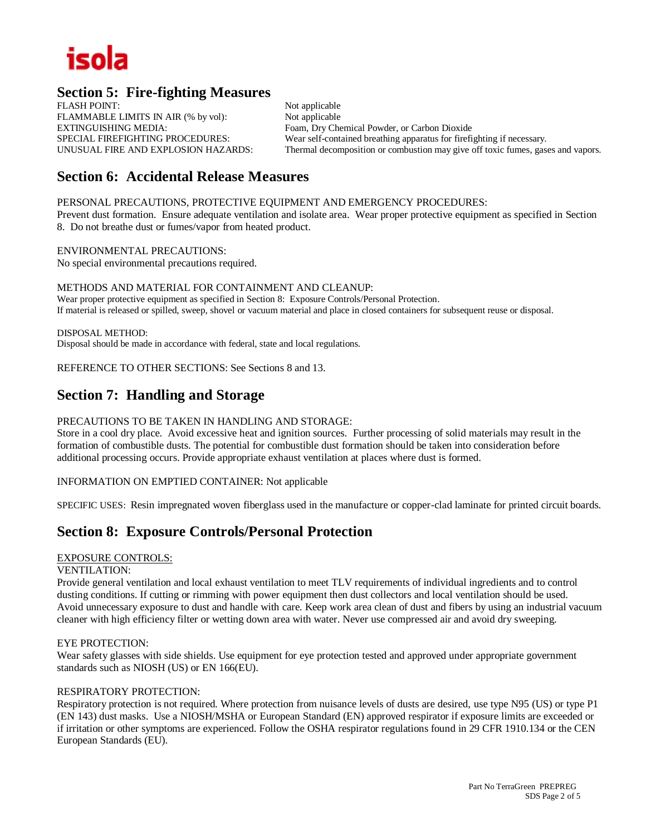## isola

## **Section 5: Fire-fighting Measures**

FLASH POINT: Not applicable FLAMMABLE LIMITS IN AIR (% by vol): Not applicable EXTINGUISHING MEDIA: Foam, Dry Chemical Powder, or Carbon Dioxide

SPECIAL FIREFIGHTING PROCEDURES: Wear self-contained breathing apparatus for firefighting if necessary.<br>
UNUSUAL FIRE AND EXPLOSION HAZARDS: Thermal decomposition or combustion may give off toxic fumes. gas Thermal decomposition or combustion may give off toxic fumes, gases and vapors.

## **Section 6: Accidental Release Measures**

PERSONAL PRECAUTIONS, PROTECTIVE EQUIPMENT AND EMERGENCY PROCEDURES:

Prevent dust formation. Ensure adequate ventilation and isolate area. Wear proper protective equipment as specified in Section 8. Do not breathe dust or fumes/vapor from heated product.

ENVIRONMENTAL PRECAUTIONS: No special environmental precautions required.

METHODS AND MATERIAL FOR CONTAINMENT AND CLEANUP: Wear proper protective equipment as specified in Section 8: Exposure Controls/Personal Protection. If material is released or spilled, sweep, shovel or vacuum material and place in closed containers for subsequent reuse or disposal.

DISPOSAL METHOD: Disposal should be made in accordance with federal, state and local regulations.

REFERENCE TO OTHER SECTIONS: See Sections 8 and 13.

### **Section 7: Handling and Storage**

#### PRECAUTIONS TO BE TAKEN IN HANDLING AND STORAGE:

Store in a cool dry place. Avoid excessive heat and ignition sources. Further processing of solid materials may result in the formation of combustible dusts. The potential for combustible dust formation should be taken into consideration before additional processing occurs. Provide appropriate exhaust ventilation at places where dust is formed.

#### INFORMATION ON EMPTIED CONTAINER: Not applicable

SPECIFIC USES: Resin impregnated woven fiberglass used in the manufacture or copper-clad laminate for printed circuit boards.

## **Section 8: Exposure Controls/Personal Protection**

#### EXPOSURE CONTROLS:

#### VENTILATION:

Provide general ventilation and local exhaust ventilation to meet TLV requirements of individual ingredients and to control dusting conditions. If cutting or rimming with power equipment then dust collectors and local ventilation should be used. Avoid unnecessary exposure to dust and handle with care. Keep work area clean of dust and fibers by using an industrial vacuum cleaner with high efficiency filter or wetting down area with water. Never use compressed air and avoid dry sweeping.

#### EYE PROTECTION:

Wear safety glasses with side shields. Use equipment for eye protection tested and approved under appropriate government standards such as NIOSH (US) or EN 166(EU).

#### RESPIRATORY PROTECTION:

Respiratory protection is not required. Where protection from nuisance levels of dusts are desired, use type N95 (US) or type P1 (EN 143) dust masks. Use a NIOSH/MSHA or European Standard (EN) approved respirator if exposure limits are exceeded or if irritation or other symptoms are experienced. Follow the OSHA respirator regulations found in 29 CFR 1910.134 or the CEN European Standards (EU).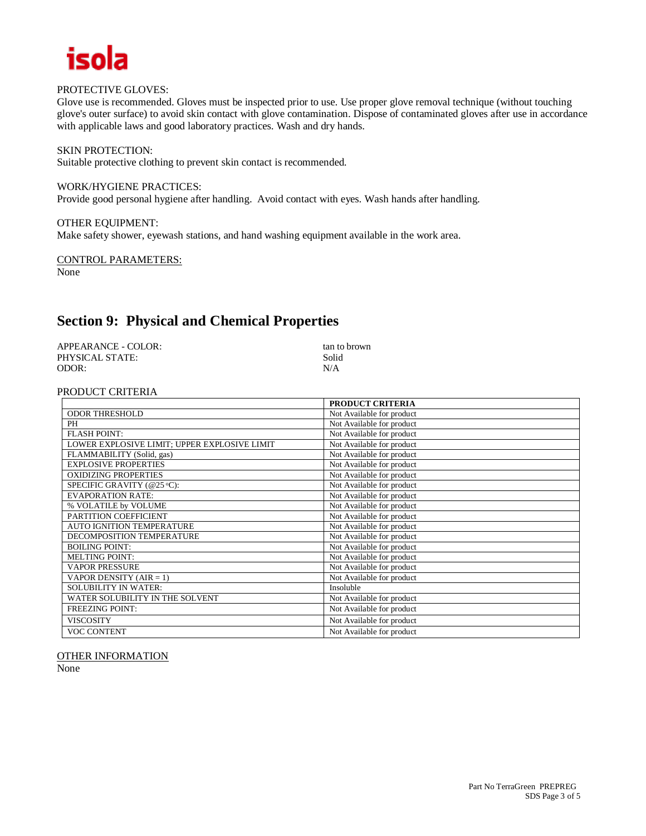

#### PROTECTIVE GLOVES:

Glove use is recommended. Gloves must be inspected prior to use. Use proper glove removal technique (without touching glove's outer surface) to avoid skin contact with glove contamination. Dispose of contaminated gloves after use in accordance with applicable laws and good laboratory practices. Wash and dry hands.

#### SKIN PROTECTION:

Suitable protective clothing to prevent skin contact is recommended.

#### WORK/HYGIENE PRACTICES:

Provide good personal hygiene after handling. Avoid contact with eyes. Wash hands after handling.

#### OTHER EQUIPMENT:

Make safety shower, eyewash stations, and hand washing equipment available in the work area.

#### CONTROL PARAMETERS:

None

## **Section 9: Physical and Chemical Properties**

| APPEARANCE - COLOR: | tan to brown |
|---------------------|--------------|
| PHYSICAL STATE:     | Solid        |
| ODOR:               | N/A          |

#### PRODUCT CRITERIA

|                                              | <b>PRODUCT CRITERIA</b>   |
|----------------------------------------------|---------------------------|
| <b>ODOR THRESHOLD</b>                        | Not Available for product |
| PH                                           | Not Available for product |
| <b>FLASH POINT:</b>                          | Not Available for product |
| LOWER EXPLOSIVE LIMIT; UPPER EXPLOSIVE LIMIT | Not Available for product |
| FLAMMABILITY (Solid, gas)                    | Not Available for product |
| <b>EXPLOSIVE PROPERTIES</b>                  | Not Available for product |
| <b>OXIDIZING PROPERTIES</b>                  | Not Available for product |
| SPECIFIC GRAVITY (@25 °C):                   | Not Available for product |
| <b>EVAPORATION RATE:</b>                     | Not Available for product |
| % VOLATILE by VOLUME                         | Not Available for product |
| PARTITION COEFFICIENT                        | Not Available for product |
| <b>AUTO IGNITION TEMPERATURE</b>             | Not Available for product |
| DECOMPOSITION TEMPERATURE                    | Not Available for product |
| <b>BOILING POINT:</b>                        | Not Available for product |
| <b>MELTING POINT:</b>                        | Not Available for product |
| <b>VAPOR PRESSURE</b>                        | Not Available for product |
| VAPOR DENSITY (AIR = 1)                      | Not Available for product |
| <b>SOLUBILITY IN WATER:</b>                  | Insoluble                 |
| WATER SOLUBILITY IN THE SOLVENT              | Not Available for product |
| <b>FREEZING POINT:</b>                       | Not Available for product |
| <b>VISCOSITY</b>                             | Not Available for product |
| <b>VOC CONTENT</b>                           | Not Available for product |

#### OTHER INFORMATION

None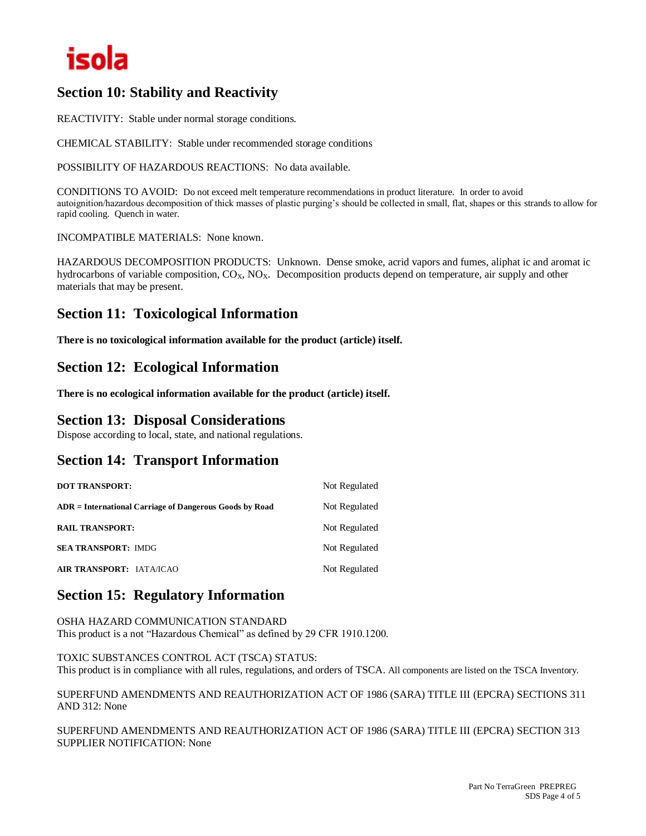## isola

## **Section 10: Stability and Reactivity**

REACTIVITY: Stable under normal storage conditions.

CHEMICAL STABILITY: Stable under recommended storage conditions

POSSIBILITY OF HAZARDOUS REACTIONS: No data available.

CONDITIONS TO AVOID: Do not exceed melt temperature recommendations in product literature. In order to avoid autoignition/hazardous decomposition of thick masses of plastic purging's should be collected in small, flat, shapes or this strands to allow for rapid cooling. Quench in water.

INCOMPATIBLE MATERIALS: None known.

HAZARDOUS DECOMPOSITION PRODUCTS: Unknown. Dense smoke, acrid vapors and fumes, aliphat ic and aromat ic hydrocarbons of variable composition,  $CO<sub>X</sub>$ ,  $NO<sub>X</sub>$ . Decomposition products depend on temperature, air supply and other materials that may be present.

## **Section 11: Toxicological Information**

**There is no toxicological information available for the product (article) itself.**

## **Section 12: Ecological Information**

**There is no ecological information available for the product (article) itself.**

### **Section 13: Disposal Considerations**

Dispose according to local, state, and national regulations.

## **Section 14: Transport Information**

| <b>DOT TRANSPORT:</b>                                   | Not Regulated |
|---------------------------------------------------------|---------------|
| ADR = International Carriage of Dangerous Goods by Road | Not Regulated |
| <b>RAIL TRANSPORT:</b>                                  | Not Regulated |
| <b>SEA TRANSPORT: IMDG</b>                              | Not Regulated |
| <b>AIR TRANSPORT: IATA/ICAO</b>                         | Not Regulated |

## **Section 15: Regulatory Information**

OSHA HAZARD COMMUNICATION STANDARD This product is a not "Hazardous Chemical" as defined by 29 CFR 1910.1200.

TOXIC SUBSTANCES CONTROL ACT (TSCA) STATUS: This product is in compliance with all rules, regulations, and orders of TSCA. All components are listed on the TSCA Inventory.

SUPERFUND AMENDMENTS AND REAUTHORIZATION ACT OF 1986 (SARA) TITLE III (EPCRA) SECTIONS 311 AND 312: None

SUPERFUND AMENDMENTS AND REAUTHORIZATION ACT OF 1986 (SARA) TITLE III (EPCRA) SECTION 313 SUPPLIER NOTIFICATION: None